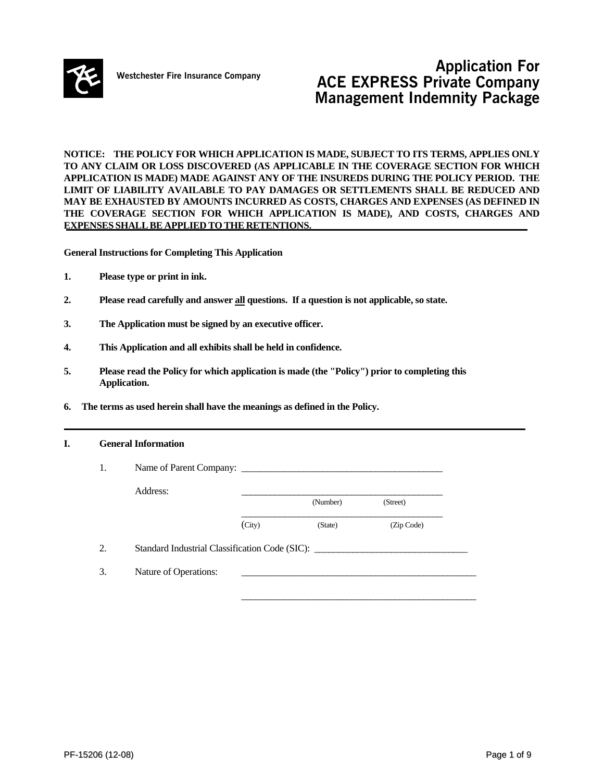

# **Application For**<br>**Mestchester Fire Insurance Company** *ACE EVEREC Buissets Company* **ACE EXPRESS Private Company Management Indemnity Package**

**NOTICE: THE POLICY FOR WHICH APPLICATION IS MADE, SUBJECT TO ITS TERMS, APPLIES ONLY TO ANY CLAIM OR LOSS DISCOVERED (AS APPLICABLE IN THE COVERAGE SECTION FOR WHICH APPLICATION IS MADE) MADE AGAINST ANY OF THE INSUREDS DURING THE POLICY PERIOD. THE LIMIT OF LIABILITY AVAILABLE TO PAY DAMAGES OR SETTLEMENTS SHALL BE REDUCED AND MAY BE EXHAUSTED BY AMOUNTS INCURRED AS COSTS, CHARGES AND EXPENSES (AS DEFINED IN THE COVERAGE SECTION FOR WHICH APPLICATION IS MADE), AND COSTS, CHARGES AND EXPENSES SHALLBE APPLIED TO THE RETENTIONS.** 

**General Instructions for Completing This Application** 

- **1. Please type or print in ink.**
- **2. Please read carefully and answer all questions. If a question is not applicable, so state.**
- **3. The Application must be signed by an executive officer.**
- **4. This Application and all exhibits shall be held in confidence.**
- **5. Please read the Policy for which application is made (the "Policy") prior to completing this Application.**
- **6. The terms as used herein shall have the meanings as defined in the Policy.**

#### **I. General Information**

| 1. | Name of Parent Company:                        |        |          |            |
|----|------------------------------------------------|--------|----------|------------|
|    | Address:                                       |        | (Number) | (Street)   |
|    |                                                | (City) | (State)  | (Zip Code) |
| 2. | Standard Industrial Classification Code (SIC): |        |          |            |
| 3. | Nature of Operations:                          |        |          |            |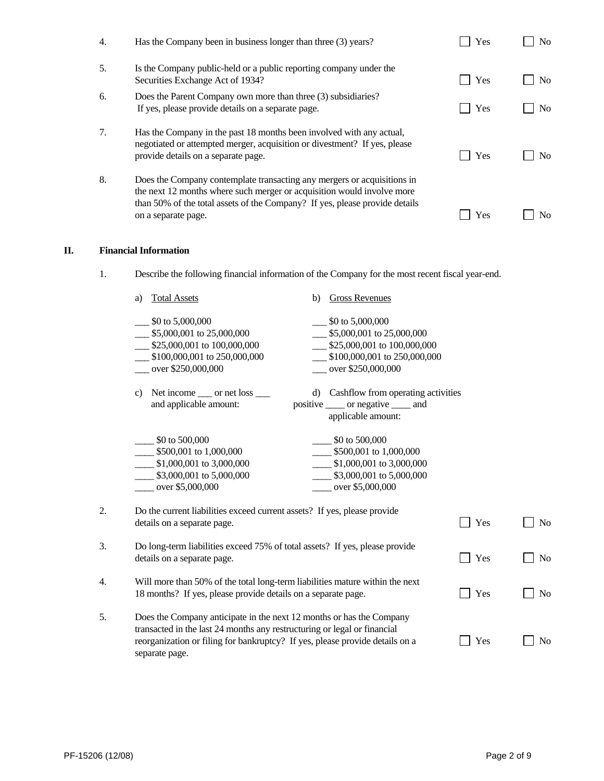| 4. | Has the Company been in business longer than three (3) years?                                                                                                                            | Yes | No.            |
|----|------------------------------------------------------------------------------------------------------------------------------------------------------------------------------------------|-----|----------------|
| 5. | Is the Company public-held or a public reporting company under the<br>Securities Exchange Act of 1934?                                                                                   | Yes | N <sub>0</sub> |
| 6. | Does the Parent Company own more than three (3) subsidiaries?<br>If yes, please provide details on a separate page.                                                                      | Yes | N <sub>o</sub> |
| 7. | Has the Company in the past 18 months been involved with any actual,<br>negotiated or attempted merger, acquisition or divestment? If yes, please<br>provide details on a separate page. | Yes | No.            |
| 8. | Does the Company contemplate transacting any mergers or acquisitions in<br>the next 12 months where such merger or acquisition would involve more                                        |     |                |
|    | than 50% of the total assets of the Company? If yes, please provide details<br>on a separate page.                                                                                       | Yes | No             |

## **II. Financial Information**

1. Describe the following financial information of the Company for the most recent fiscal year-end.

|    | a)           | <b>Total Assets</b>                                                                                                                                                                                                                                | b) | <b>Gross Revenues</b>                                                                                                              |     |                |
|----|--------------|----------------------------------------------------------------------------------------------------------------------------------------------------------------------------------------------------------------------------------------------------|----|------------------------------------------------------------------------------------------------------------------------------------|-----|----------------|
|    |              | \$0 to 5,000,000<br>\$5,000,001 to 25,000,000<br>\$25,000,001 to 100,000,000<br>\$100,000,001 to 250,000,000<br>over \$250,000,000                                                                                                                 |    | \$0 to 5,000,000<br>\$5,000,001 to 25,000,000<br>\$25,000,001 to 100,000,000<br>\$100,000,001 to 250,000,000<br>over \$250,000,000 |     |                |
|    | $\mathbf{c}$ | Net income <u>___</u> or net loss ___<br>and applicable amount:                                                                                                                                                                                    |    | d) Cashflow from operating activities<br>positive ______ or negative ______ and<br>applicable amount:                              |     |                |
|    |              | \$0 to 500,000<br>\$500,001 to 1,000,000<br>\$1,000,001 to 3,000,000<br>\$3,000,001 to 5,000,000<br>over \$5,000,000                                                                                                                               |    | \$0 to 500,000<br>\$500,001 to 1,000,000<br>\$1,000,001 to 3,000,000<br>\$3,000,001 to 5,000,000<br>over \$5,000,000               |     |                |
| 2. |              | Do the current liabilities exceed current assets? If yes, please provide<br>details on a separate page.                                                                                                                                            |    |                                                                                                                                    | Yes | N <sub>o</sub> |
| 3. |              | Do long-term liabilities exceed 75% of total assets? If yes, please provide<br>details on a separate page.                                                                                                                                         |    |                                                                                                                                    | Yes | No             |
| 4. |              | Will more than 50% of the total long-term liabilities mature within the next<br>18 months? If yes, please provide details on a separate page.                                                                                                      |    |                                                                                                                                    | Yes | N <sub>o</sub> |
| 5. |              | Does the Company anticipate in the next 12 months or has the Company<br>transacted in the last 24 months any restructuring or legal or financial<br>reorganization or filing for bankruptcy? If yes, please provide details on a<br>separate page. |    |                                                                                                                                    | Yes | N <sub>0</sub> |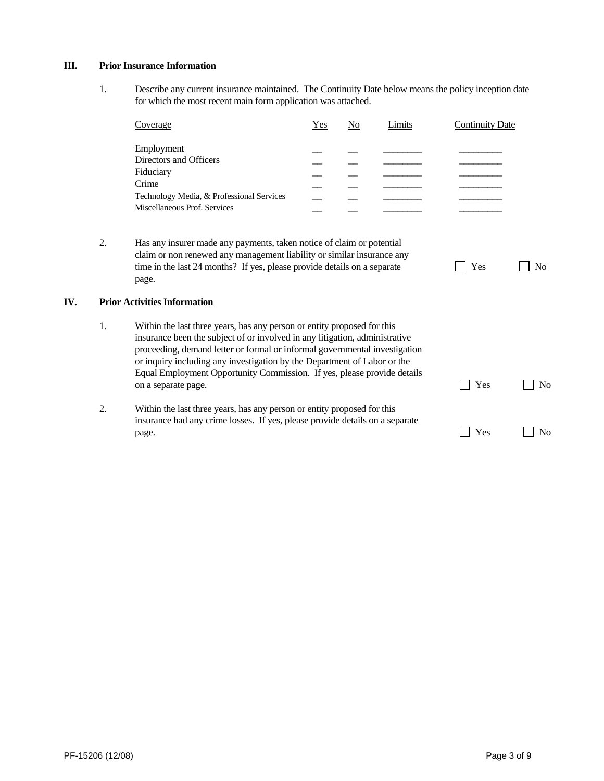### **III. Prior Insurance Information**

 1. Describe any current insurance maintained. The Continuity Date below means the policy inception date for which the most recent main form application was attached.

|     |    | Coverage                                                                                                                                                                                                                                                                                                                                                                                                           | Yes | $\underline{\mathrm{No}}$ | Limits | <b>Continuity Date</b> |                |
|-----|----|--------------------------------------------------------------------------------------------------------------------------------------------------------------------------------------------------------------------------------------------------------------------------------------------------------------------------------------------------------------------------------------------------------------------|-----|---------------------------|--------|------------------------|----------------|
|     |    | Employment<br>Directors and Officers<br>Fiduciary<br>Crime<br>Technology Media, & Professional Services<br>Miscellaneous Prof. Services                                                                                                                                                                                                                                                                            |     |                           |        |                        |                |
|     | 2. | Has any insurer made any payments, taken notice of claim or potential<br>claim or non renewed any management liability or similar insurance any<br>time in the last 24 months? If yes, please provide details on a separate<br>page.                                                                                                                                                                               |     |                           |        | Yes                    | N <sub>o</sub> |
| IV. |    | <b>Prior Activities Information</b>                                                                                                                                                                                                                                                                                                                                                                                |     |                           |        |                        |                |
|     | 1. | Within the last three years, has any person or entity proposed for this<br>insurance been the subject of or involved in any litigation, administrative<br>proceeding, demand letter or formal or informal governmental investigation<br>or inquiry including any investigation by the Department of Labor or the<br>Equal Employment Opportunity Commission. If yes, please provide details<br>on a separate page. |     |                           |        | Yes                    | N <sub>0</sub> |
|     | 2. | Within the last three years, has any person or entity proposed for this<br>insurance had any crime losses. If yes, please provide details on a separate<br>page.                                                                                                                                                                                                                                                   |     |                           |        | Yes                    | N <sub>0</sub> |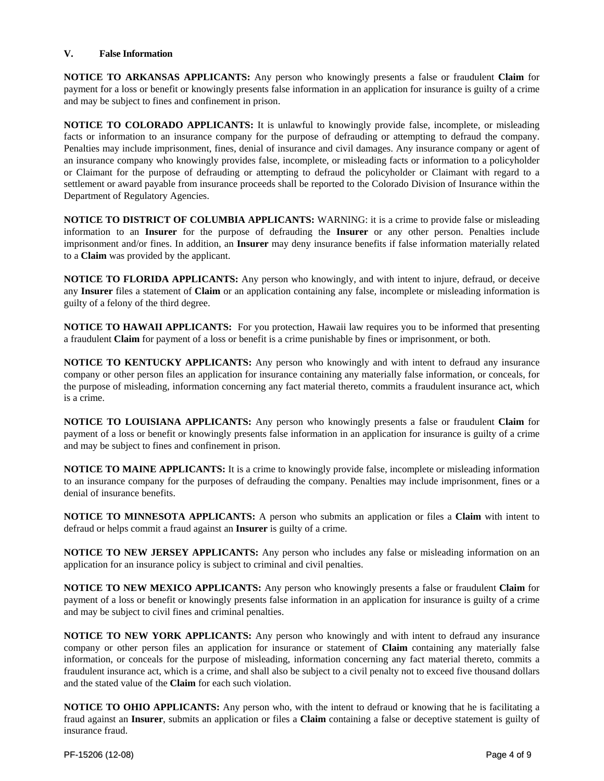### **V. False Information**

**NOTICE TO ARKANSAS APPLICANTS:** Any person who knowingly presents a false or fraudulent **Claim** for payment for a loss or benefit or knowingly presents false information in an application for insurance is guilty of a crime and may be subject to fines and confinement in prison.

**NOTICE TO COLORADO APPLICANTS:** It is unlawful to knowingly provide false, incomplete, or misleading facts or information to an insurance company for the purpose of defrauding or attempting to defraud the company. Penalties may include imprisonment, fines, denial of insurance and civil damages. Any insurance company or agent of an insurance company who knowingly provides false, incomplete, or misleading facts or information to a policyholder or Claimant for the purpose of defrauding or attempting to defraud the policyholder or Claimant with regard to a settlement or award payable from insurance proceeds shall be reported to the Colorado Division of Insurance within the Department of Regulatory Agencies.

**NOTICE TO DISTRICT OF COLUMBIA APPLICANTS:** WARNING: it is a crime to provide false or misleading information to an **Insurer** for the purpose of defrauding the **Insurer** or any other person. Penalties include imprisonment and/or fines. In addition, an **Insurer** may deny insurance benefits if false information materially related to a **Claim** was provided by the applicant.

**NOTICE TO FLORIDA APPLICANTS:** Any person who knowingly, and with intent to injure, defraud, or deceive any **Insurer** files a statement of **Claim** or an application containing any false, incomplete or misleading information is guilty of a felony of the third degree.

**NOTICE TO HAWAII APPLICANTS:** For you protection, Hawaii law requires you to be informed that presenting a fraudulent **Claim** for payment of a loss or benefit is a crime punishable by fines or imprisonment, or both.

**NOTICE TO KENTUCKY APPLICANTS:** Any person who knowingly and with intent to defraud any insurance company or other person files an application for insurance containing any materially false information, or conceals, for the purpose of misleading, information concerning any fact material thereto, commits a fraudulent insurance act, which is a crime.

**NOTICE TO LOUISIANA APPLICANTS:** Any person who knowingly presents a false or fraudulent **Claim** for payment of a loss or benefit or knowingly presents false information in an application for insurance is guilty of a crime and may be subject to fines and confinement in prison.

**NOTICE TO MAINE APPLICANTS:** It is a crime to knowingly provide false, incomplete or misleading information to an insurance company for the purposes of defrauding the company. Penalties may include imprisonment, fines or a denial of insurance benefits.

**NOTICE TO MINNESOTA APPLICANTS:** A person who submits an application or files a **Claim** with intent to defraud or helps commit a fraud against an **Insurer** is guilty of a crime.

**NOTICE TO NEW JERSEY APPLICANTS:** Any person who includes any false or misleading information on an application for an insurance policy is subject to criminal and civil penalties.

**NOTICE TO NEW MEXICO APPLICANTS:** Any person who knowingly presents a false or fraudulent **Claim** for payment of a loss or benefit or knowingly presents false information in an application for insurance is guilty of a crime and may be subject to civil fines and criminal penalties.

**NOTICE TO NEW YORK APPLICANTS:** Any person who knowingly and with intent to defraud any insurance company or other person files an application for insurance or statement of **Claim** containing any materially false information, or conceals for the purpose of misleading, information concerning any fact material thereto, commits a fraudulent insurance act, which is a crime, and shall also be subject to a civil penalty not to exceed five thousand dollars and the stated value of the **Claim** for each such violation.

**NOTICE TO OHIO APPLICANTS:** Any person who, with the intent to defraud or knowing that he is facilitating a fraud against an **Insurer**, submits an application or files a **Claim** containing a false or deceptive statement is guilty of insurance fraud.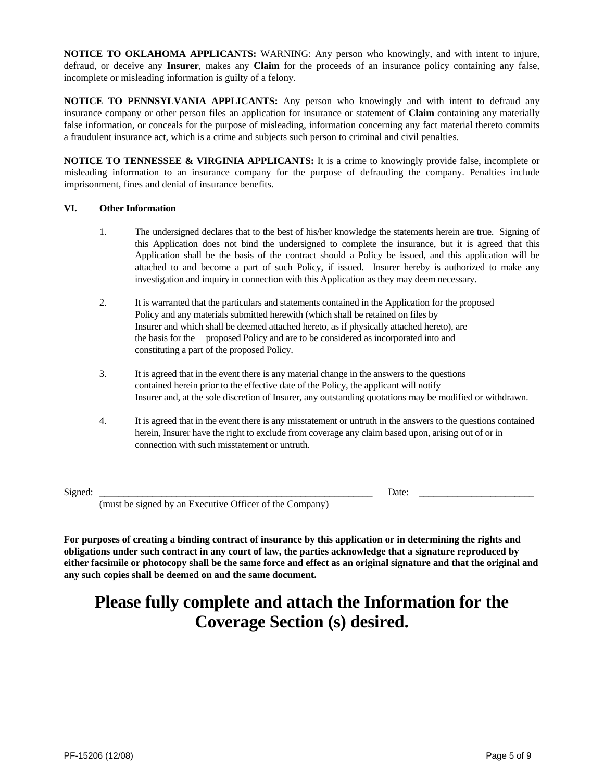**NOTICE TO OKLAHOMA APPLICANTS:** WARNING: Any person who knowingly, and with intent to injure, defraud, or deceive any **Insurer**, makes any **Claim** for the proceeds of an insurance policy containing any false, incomplete or misleading information is guilty of a felony.

**NOTICE TO PENNSYLVANIA APPLICANTS:** Any person who knowingly and with intent to defraud any insurance company or other person files an application for insurance or statement of **Claim** containing any materially false information, or conceals for the purpose of misleading, information concerning any fact material thereto commits a fraudulent insurance act, which is a crime and subjects such person to criminal and civil penalties.

**NOTICE TO TENNESSEE & VIRGINIA APPLICANTS:** It is a crime to knowingly provide false, incomplete or misleading information to an insurance company for the purpose of defrauding the company. Penalties include imprisonment, fines and denial of insurance benefits.

### **VI. Other Information**

- 1. The undersigned declares that to the best of his/her knowledge the statements herein are true. Signing of this Application does not bind the undersigned to complete the insurance, but it is agreed that this Application shall be the basis of the contract should a Policy be issued, and this application will be attached to and become a part of such Policy, if issued. Insurer hereby is authorized to make any investigation and inquiry in connection with this Application as they may deem necessary.
- 2. It is warranted that the particulars and statements contained in the Application for the proposed Policy and any materials submitted herewith (which shall be retained on files by Insurer and which shall be deemed attached hereto, as if physically attached hereto), are the basis for the proposed Policy and are to be considered as incorporated into and constituting a part of the proposed Policy.
- 3. It is agreed that in the event there is any material change in the answers to the questions contained herein prior to the effective date of the Policy, the applicant will notify Insurer and, at the sole discretion of Insurer, any outstanding quotations may be modified or withdrawn.
- 4. It is agreed that in the event there is any misstatement or untruth in the answers to the questions contained herein, Insurer have the right to exclude from coverage any claim based upon, arising out of or in connection with such misstatement or untruth.

Signed: \_\_\_\_\_\_\_\_\_\_\_\_\_\_\_\_\_\_\_\_\_\_\_\_\_\_\_\_\_\_\_\_\_\_\_\_\_\_\_\_\_\_\_\_\_\_\_\_\_\_\_\_\_\_\_\_\_ Date: \_\_\_\_\_\_\_\_\_\_\_\_\_\_\_\_\_\_\_\_\_\_\_\_

(must be signed by an Executive Officer of the Company)

**For purposes of creating a binding contract of insurance by this application or in determining the rights and obligations under such contract in any court of law, the parties acknowledge that a signature reproduced by either facsimile or photocopy shall be the same force and effect as an original signature and that the original and any such copies shall be deemed on and the same document.** 

# **Please fully complete and attach the Information for the Coverage Section (s) desired.**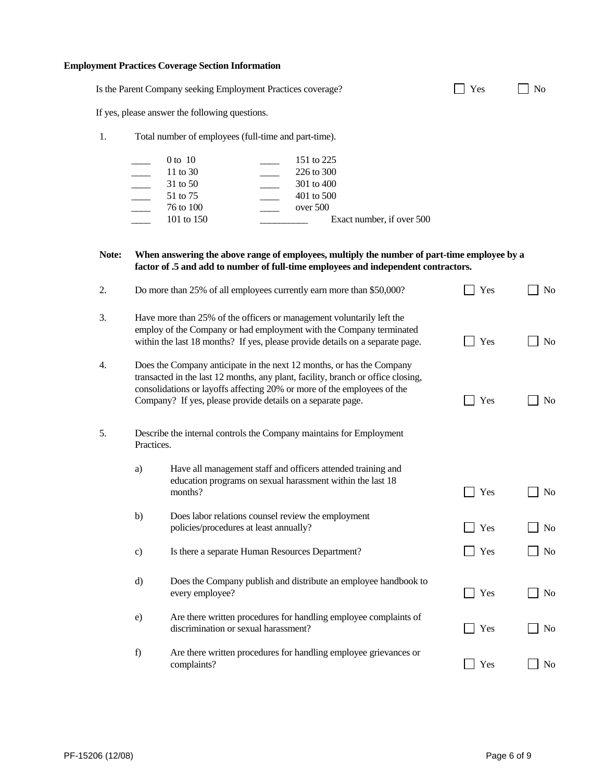### **Employment Practices Coverage Section Information**

|       |               | Is the Parent Company seeking Employment Practices coverage?                                                                                                                                                                                                                                        | Yes |  |
|-------|---------------|-----------------------------------------------------------------------------------------------------------------------------------------------------------------------------------------------------------------------------------------------------------------------------------------------------|-----|--|
|       |               | If yes, please answer the following questions.                                                                                                                                                                                                                                                      |     |  |
| 1.    |               | Total number of employees (full-time and part-time).                                                                                                                                                                                                                                                |     |  |
|       |               | $0$ to $10$<br>151 to 225<br>11 to 30<br>226 to 300<br>31 to 50<br>301 to 400<br>51 to 75<br>401 to 500<br>over 500<br>76 to 100<br>101 to 150<br>Exact number, if over 500                                                                                                                         |     |  |
| Note: |               | When answering the above range of employees, multiply the number of part-time employee by a<br>factor of .5 and add to number of full-time employees and independent contractors.                                                                                                                   |     |  |
| 2.    |               | Do more than 25% of all employees currently earn more than \$50,000?                                                                                                                                                                                                                                | Yes |  |
| 3.    |               | Have more than 25% of the officers or management voluntarily left the<br>employ of the Company or had employment with the Company terminated<br>within the last 18 months? If yes, please provide details on a separate page.                                                                       | Yes |  |
| 4.    |               | Does the Company anticipate in the next 12 months, or has the Company<br>transacted in the last 12 months, any plant, facility, branch or office closing,<br>consolidations or layoffs affecting 20% or more of the employees of the<br>Company? If yes, please provide details on a separate page. | Yes |  |
| 5.    | Practices.    | Describe the internal controls the Company maintains for Employment                                                                                                                                                                                                                                 |     |  |
|       | a)            | Have all management staff and officers attended training and<br>education programs on sexual harassment within the last 18<br>months?                                                                                                                                                               | Yes |  |
|       | b)            | Does labor relations counsel review the employment<br>policies/procedures at least annually?                                                                                                                                                                                                        | Yes |  |
|       | $\mathbf{c})$ | Is there a separate Human Resources Department?                                                                                                                                                                                                                                                     | Yes |  |
|       | $\rm d$       | Does the Company publish and distribute an employee handbook to<br>every employee?                                                                                                                                                                                                                  | Yes |  |
|       | e)            | Are there written procedures for handling employee complaints of<br>discrimination or sexual harassment?                                                                                                                                                                                            | Yes |  |
|       | f)            | Are there written procedures for handling employee grievances or                                                                                                                                                                                                                                    |     |  |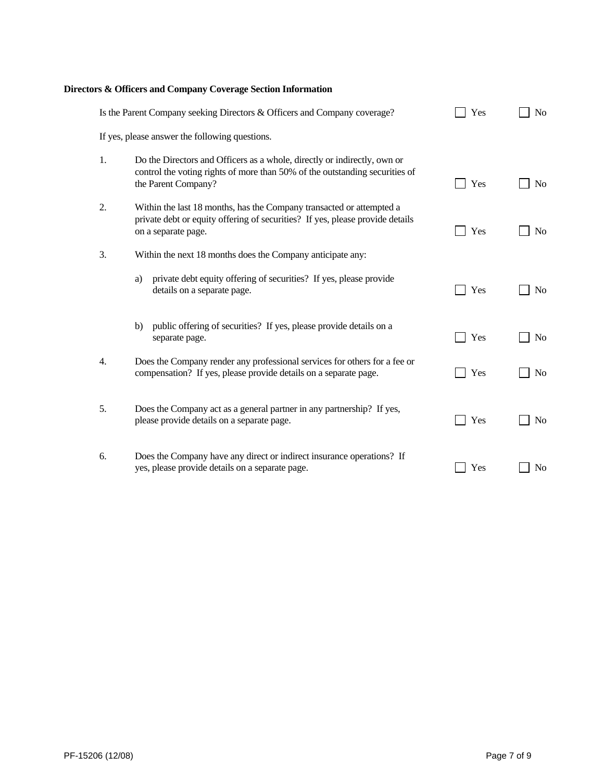# **Directors & Officers and Company Coverage Section Information**

|    | Is the Parent Company seeking Directors & Officers and Company coverage?                                                                                                       | Yes | N <sub>o</sub> |
|----|--------------------------------------------------------------------------------------------------------------------------------------------------------------------------------|-----|----------------|
|    | If yes, please answer the following questions.                                                                                                                                 |     |                |
| 1. | Do the Directors and Officers as a whole, directly or indirectly, own or<br>control the voting rights of more than 50% of the outstanding securities of<br>the Parent Company? | Yes | N <sub>0</sub> |
| 2. | Within the last 18 months, has the Company transacted or attempted a<br>private debt or equity offering of securities? If yes, please provide details<br>on a separate page.   | Yes | N <sub>0</sub> |
| 3. | Within the next 18 months does the Company anticipate any:                                                                                                                     |     |                |
|    | private debt equity offering of securities? If yes, please provide<br>a)<br>details on a separate page.                                                                        | Yes | N <sub>0</sub> |
|    | public offering of securities? If yes, please provide details on a<br>b)<br>separate page.                                                                                     | Yes | N <sub>0</sub> |
| 4. | Does the Company render any professional services for others for a fee or<br>compensation? If yes, please provide details on a separate page.                                  | Yes | N <sub>0</sub> |
| 5. | Does the Company act as a general partner in any partnership? If yes,<br>please provide details on a separate page.                                                            | Yes | N <sub>o</sub> |
| 6. | Does the Company have any direct or indirect insurance operations? If<br>yes, please provide details on a separate page.                                                       | Yes | N <sub>0</sub> |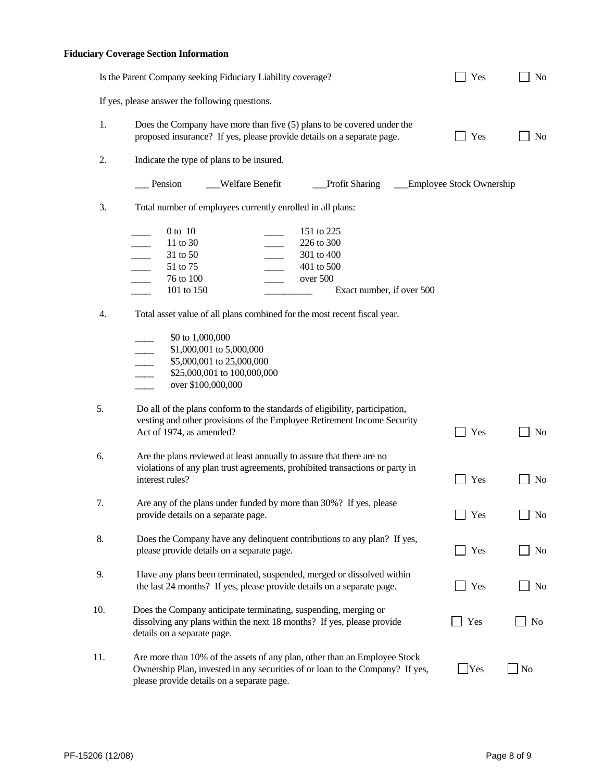## **Fiduciary Coverage Section Information**

|     | Is the Parent Company seeking Fiduciary Liability coverage?                                                                                                                                              | Yes                      | No             |
|-----|----------------------------------------------------------------------------------------------------------------------------------------------------------------------------------------------------------|--------------------------|----------------|
|     | If yes, please answer the following questions.                                                                                                                                                           |                          |                |
| 1.  | Does the Company have more than five (5) plans to be covered under the<br>proposed insurance? If yes, please provide details on a separate page.                                                         | Yes                      | N <sub>0</sub> |
| 2.  | Indicate the type of plans to be insured.                                                                                                                                                                |                          |                |
|     | Pension<br><b>Welfare Benefit</b><br><b>Profit Sharing</b>                                                                                                                                               | Employee Stock Ownership |                |
| 3.  | Total number of employees currently enrolled in all plans:                                                                                                                                               |                          |                |
|     | $0$ to $10$<br>151 to 225<br>11 to 30<br>226 to 300<br>31 to 50<br>301 to 400<br>51 to 75<br>401 to 500<br>over 500<br>76 to 100<br>101 to 150<br>Exact number, if over 500                              |                          |                |
| 4.  | Total asset value of all plans combined for the most recent fiscal year.                                                                                                                                 |                          |                |
|     | \$0 to 1,000,000<br>\$1,000,001 to 5,000,000<br>\$5,000,001 to 25,000,000<br>\$25,000,001 to 100,000,000<br>over \$100,000,000                                                                           |                          |                |
| 5.  | Do all of the plans conform to the standards of eligibility, participation,<br>vesting and other provisions of the Employee Retirement Income Security<br>Act of 1974, as amended?                       | Yes                      | No             |
| 6.  | Are the plans reviewed at least annually to assure that there are no<br>violations of any plan trust agreements, prohibited transactions or party in<br>interest rules?                                  | Yes                      | No             |
| 7.  | Are any of the plans under funded by more than 30%? If yes, please<br>provide details on a separate page.                                                                                                | Yes                      | N <sub>o</sub> |
| 8.  | Does the Company have any delinquent contributions to any plan? If yes,<br>please provide details on a separate page.                                                                                    | Yes                      | No             |
| 9.  | Have any plans been terminated, suspended, merged or dissolved within<br>the last 24 months? If yes, please provide details on a separate page.                                                          | Yes                      | No             |
| 10. | Does the Company anticipate terminating, suspending, merging or<br>dissolving any plans within the next 18 months? If yes, please provide<br>details on a separate page.                                 | Yes                      | N <sub>0</sub> |
| 11. | Are more than 10% of the assets of any plan, other than an Employee Stock<br>Ownership Plan, invested in any securities of or loan to the Company? If yes,<br>please provide details on a separate page. | Yes                      | $\vert$ No     |